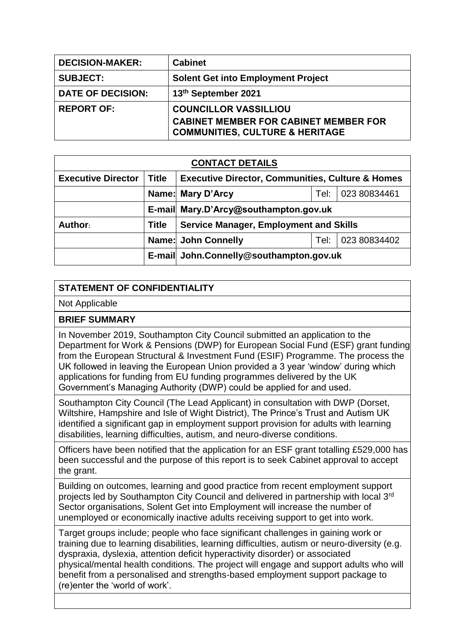| <b>DECISION-MAKER:</b>   | <b>Cabinet</b>                                                                             |
|--------------------------|--------------------------------------------------------------------------------------------|
| <b>SUBJECT:</b>          | <b>Solent Get into Employment Project</b>                                                  |
| <b>DATE OF DECISION:</b> | 13th September 2021                                                                        |
| <b>REPORT OF:</b>        | <b>COUNCILLOR VASSILLIOU</b>                                                               |
|                          | <b>CABINET MEMBER FOR CABINET MEMBER FOR</b><br><b>COMMUNITIES, CULTURE &amp; HERITAGE</b> |

| <b>CONTACT DETAILS</b>    |              |                                                             |      |              |  |
|---------------------------|--------------|-------------------------------------------------------------|------|--------------|--|
| <b>Executive Director</b> | <b>Title</b> | <b>Executive Director, Communities, Culture &amp; Homes</b> |      |              |  |
|                           |              | Name: Mary D'Arcy<br>023 80834461<br>Tel:                   |      |              |  |
|                           |              | E-mail Mary.D'Arcy@southampton.gov.uk                       |      |              |  |
| Author:                   | <b>Title</b> | <b>Service Manager, Employment and Skills</b>               |      |              |  |
|                           |              | Name: John Connelly                                         | Tel: | 023 80834402 |  |
|                           |              | E-mail John.Connelly@southampton.gov.uk                     |      |              |  |

## **STATEMENT OF CONFIDENTIALITY**

Not Applicable

## **BRIEF SUMMARY**

In November 2019, Southampton City Council submitted an application to the Department for Work & Pensions (DWP) for European Social Fund (ESF) grant funding from the European Structural & Investment Fund (ESIF) Programme. The process the UK followed in leaving the European Union provided a 3 year 'window' during which applications for funding from EU funding programmes delivered by the UK Government's Managing Authority (DWP) could be applied for and used.

Southampton City Council (The Lead Applicant) in consultation with DWP (Dorset, Wiltshire, Hampshire and Isle of Wight District), The Prince's Trust and Autism UK identified a significant gap in employment support provision for adults with learning disabilities, learning difficulties, autism, and neuro-diverse conditions.

Officers have been notified that the application for an ESF grant totalling £529,000 has been successful and the purpose of this report is to seek Cabinet approval to accept the grant.

Building on outcomes, learning and good practice from recent employment support projects led by Southampton City Council and delivered in partnership with local 3rd Sector organisations, Solent Get into Employment will increase the number of unemployed or economically inactive adults receiving support to get into work.

Target groups include; people who face significant challenges in gaining work or training due to learning disabilities, learning difficulties, autism or neuro-diversity (e.g. dyspraxia, dyslexia, attention deficit hyperactivity disorder) or associated physical/mental health conditions. The project will engage and support adults who will benefit from a personalised and strengths-based employment support package to (re)enter the 'world of work'.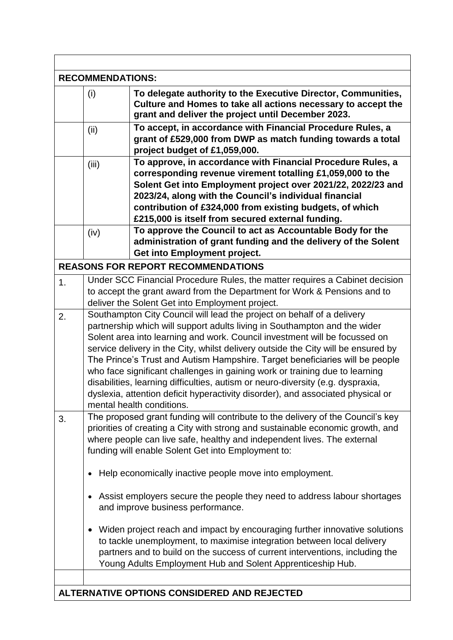|    | <b>RECOMMENDATIONS:</b>                                                                                                                                                                                                                                                                                                                                                                                                                                                                                                                                                                                                                                                                                                                                                                                             |  |  |  |
|----|---------------------------------------------------------------------------------------------------------------------------------------------------------------------------------------------------------------------------------------------------------------------------------------------------------------------------------------------------------------------------------------------------------------------------------------------------------------------------------------------------------------------------------------------------------------------------------------------------------------------------------------------------------------------------------------------------------------------------------------------------------------------------------------------------------------------|--|--|--|
|    | To delegate authority to the Executive Director, Communities,<br>(i)<br>Culture and Homes to take all actions necessary to accept the<br>grant and deliver the project until December 2023.                                                                                                                                                                                                                                                                                                                                                                                                                                                                                                                                                                                                                         |  |  |  |
|    | To accept, in accordance with Financial Procedure Rules, a<br>(ii)<br>grant of £529,000 from DWP as match funding towards a total<br>project budget of £1,059,000.                                                                                                                                                                                                                                                                                                                                                                                                                                                                                                                                                                                                                                                  |  |  |  |
|    | To approve, in accordance with Financial Procedure Rules, a<br>(iii)<br>corresponding revenue virement totalling £1,059,000 to the<br>Solent Get into Employment project over 2021/22, 2022/23 and<br>2023/24, along with the Council's individual financial<br>contribution of £324,000 from existing budgets, of which<br>£215,000 is itself from secured external funding.                                                                                                                                                                                                                                                                                                                                                                                                                                       |  |  |  |
|    | To approve the Council to act as Accountable Body for the<br>(iv)<br>administration of grant funding and the delivery of the Solent<br>Get into Employment project.                                                                                                                                                                                                                                                                                                                                                                                                                                                                                                                                                                                                                                                 |  |  |  |
|    | <b>REASONS FOR REPORT RECOMMENDATIONS</b>                                                                                                                                                                                                                                                                                                                                                                                                                                                                                                                                                                                                                                                                                                                                                                           |  |  |  |
| 1. | Under SCC Financial Procedure Rules, the matter requires a Cabinet decision<br>to accept the grant award from the Department for Work & Pensions and to<br>deliver the Solent Get into Employment project.                                                                                                                                                                                                                                                                                                                                                                                                                                                                                                                                                                                                          |  |  |  |
| 2. | Southampton City Council will lead the project on behalf of a delivery<br>partnership which will support adults living in Southampton and the wider<br>Solent area into learning and work. Council investment will be focussed on<br>service delivery in the City, whilst delivery outside the City will be ensured by<br>The Prince's Trust and Autism Hampshire. Target beneficiaries will be people<br>who face significant challenges in gaining work or training due to learning<br>disabilities, learning difficulties, autism or neuro-diversity (e.g. dyspraxia,<br>dyslexia, attention deficit hyperactivity disorder), and associated physical or<br>mental health conditions.                                                                                                                            |  |  |  |
| 3. | The proposed grant funding will contribute to the delivery of the Council's key<br>priorities of creating a City with strong and sustainable economic growth, and<br>where people can live safe, healthy and independent lives. The external<br>funding will enable Solent Get into Employment to:<br>Help economically inactive people move into employment.<br>$\bullet$<br>Assist employers secure the people they need to address labour shortages<br>$\bullet$<br>and improve business performance.<br>Widen project reach and impact by encouraging further innovative solutions<br>٠<br>to tackle unemployment, to maximise integration between local delivery<br>partners and to build on the success of current interventions, including the<br>Young Adults Employment Hub and Solent Apprenticeship Hub. |  |  |  |
|    | ALTERNATIVE OPTIONS CONSIDERED AND REJECTED                                                                                                                                                                                                                                                                                                                                                                                                                                                                                                                                                                                                                                                                                                                                                                         |  |  |  |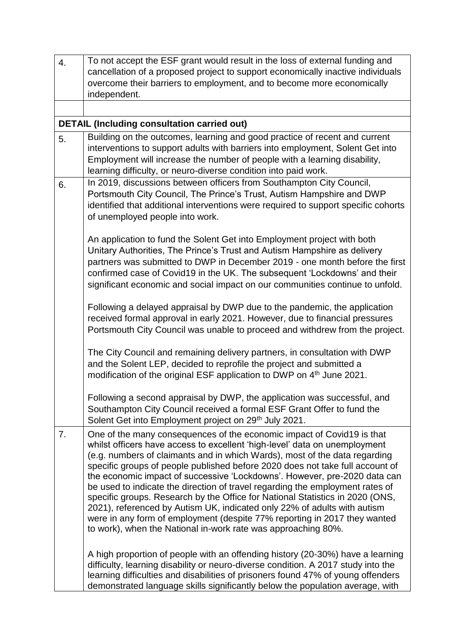| 4. | To not accept the ESF grant would result in the loss of external funding and                                                                                                                                                                                                                                                                                                                                                                                                                                                                                                                                                                                                                                                                                                                 |
|----|----------------------------------------------------------------------------------------------------------------------------------------------------------------------------------------------------------------------------------------------------------------------------------------------------------------------------------------------------------------------------------------------------------------------------------------------------------------------------------------------------------------------------------------------------------------------------------------------------------------------------------------------------------------------------------------------------------------------------------------------------------------------------------------------|
|    | cancellation of a proposed project to support economically inactive individuals                                                                                                                                                                                                                                                                                                                                                                                                                                                                                                                                                                                                                                                                                                              |
|    | overcome their barriers to employment, and to become more economically<br>independent.                                                                                                                                                                                                                                                                                                                                                                                                                                                                                                                                                                                                                                                                                                       |
|    |                                                                                                                                                                                                                                                                                                                                                                                                                                                                                                                                                                                                                                                                                                                                                                                              |
|    | <b>DETAIL (Including consultation carried out)</b>                                                                                                                                                                                                                                                                                                                                                                                                                                                                                                                                                                                                                                                                                                                                           |
| 5. | Building on the outcomes, learning and good practice of recent and current                                                                                                                                                                                                                                                                                                                                                                                                                                                                                                                                                                                                                                                                                                                   |
|    | interventions to support adults with barriers into employment, Solent Get into<br>Employment will increase the number of people with a learning disability,<br>learning difficulty, or neuro-diverse condition into paid work.                                                                                                                                                                                                                                                                                                                                                                                                                                                                                                                                                               |
| 6. | In 2019, discussions between officers from Southampton City Council,<br>Portsmouth City Council, The Prince's Trust, Autism Hampshire and DWP<br>identified that additional interventions were required to support specific cohorts<br>of unemployed people into work.                                                                                                                                                                                                                                                                                                                                                                                                                                                                                                                       |
|    | An application to fund the Solent Get into Employment project with both<br>Unitary Authorities, The Prince's Trust and Autism Hampshire as delivery<br>partners was submitted to DWP in December 2019 - one month before the first<br>confirmed case of Covid19 in the UK. The subsequent 'Lockdowns' and their<br>significant economic and social impact on our communities continue to unfold.                                                                                                                                                                                                                                                                                                                                                                                             |
|    | Following a delayed appraisal by DWP due to the pandemic, the application<br>received formal approval in early 2021. However, due to financial pressures<br>Portsmouth City Council was unable to proceed and withdrew from the project.                                                                                                                                                                                                                                                                                                                                                                                                                                                                                                                                                     |
|    | The City Council and remaining delivery partners, in consultation with DWP<br>and the Solent LEP, decided to reprofile the project and submitted a<br>modification of the original ESF application to DWP on 4th June 2021.                                                                                                                                                                                                                                                                                                                                                                                                                                                                                                                                                                  |
|    | Following a second appraisal by DWP, the application was successful, and<br>Southampton City Council received a formal ESF Grant Offer to fund the<br>Solent Get into Employment project on 29 <sup>th</sup> July 2021.                                                                                                                                                                                                                                                                                                                                                                                                                                                                                                                                                                      |
| 7. | One of the many consequences of the economic impact of Covid19 is that<br>whilst officers have access to excellent 'high-level' data on unemployment<br>(e.g. numbers of claimants and in which Wards), most of the data regarding<br>specific groups of people published before 2020 does not take full account of<br>the economic impact of successive 'Lockdowns'. However, pre-2020 data can<br>be used to indicate the direction of travel regarding the employment rates of<br>specific groups. Research by the Office for National Statistics in 2020 (ONS,<br>2021), referenced by Autism UK, indicated only 22% of adults with autism<br>were in any form of employment (despite 77% reporting in 2017 they wanted<br>to work), when the National in-work rate was approaching 80%. |
|    | A high proportion of people with an offending history (20-30%) have a learning<br>difficulty, learning disability or neuro-diverse condition. A 2017 study into the<br>learning difficulties and disabilities of prisoners found 47% of young offenders<br>demonstrated language skills significantly below the population average, with                                                                                                                                                                                                                                                                                                                                                                                                                                                     |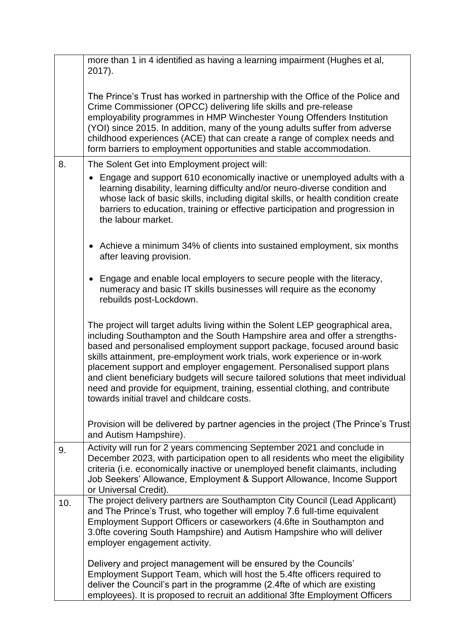|     | more than 1 in 4 identified as having a learning impairment (Hughes et al,<br>$2017$ ).                                                                                                                                                                                                                                                                                                                                                                                                                                                                                                                           |
|-----|-------------------------------------------------------------------------------------------------------------------------------------------------------------------------------------------------------------------------------------------------------------------------------------------------------------------------------------------------------------------------------------------------------------------------------------------------------------------------------------------------------------------------------------------------------------------------------------------------------------------|
|     | The Prince's Trust has worked in partnership with the Office of the Police and<br>Crime Commissioner (OPCC) delivering life skills and pre-release<br>employability programmes in HMP Winchester Young Offenders Institution<br>(YOI) since 2015. In addition, many of the young adults suffer from adverse<br>childhood experiences (ACE) that can create a range of complex needs and<br>form barriers to employment opportunities and stable accommodation.                                                                                                                                                    |
| 8.  | The Solent Get into Employment project will:                                                                                                                                                                                                                                                                                                                                                                                                                                                                                                                                                                      |
|     | Engage and support 610 economically inactive or unemployed adults with a<br>learning disability, learning difficulty and/or neuro-diverse condition and<br>whose lack of basic skills, including digital skills, or health condition create<br>barriers to education, training or effective participation and progression in<br>the labour market.                                                                                                                                                                                                                                                                |
|     | • Achieve a minimum 34% of clients into sustained employment, six months<br>after leaving provision.                                                                                                                                                                                                                                                                                                                                                                                                                                                                                                              |
|     | Engage and enable local employers to secure people with the literacy,<br>$\bullet$<br>numeracy and basic IT skills businesses will require as the economy<br>rebuilds post-Lockdown.                                                                                                                                                                                                                                                                                                                                                                                                                              |
|     | The project will target adults living within the Solent LEP geographical area,<br>including Southampton and the South Hampshire area and offer a strengths-<br>based and personalised employment support package, focused around basic<br>skills attainment, pre-employment work trials, work experience or in-work<br>placement support and employer engagement. Personalised support plans<br>and client beneficiary budgets will secure tailored solutions that meet individual<br>need and provide for equipment, training, essential clothing, and contribute<br>towards initial travel and childcare costs. |
|     | Provision will be delivered by partner agencies in the project (The Prince's Trust<br>and Autism Hampshire).                                                                                                                                                                                                                                                                                                                                                                                                                                                                                                      |
| 9.  | Activity will run for 2 years commencing September 2021 and conclude in<br>December 2023, with participation open to all residents who meet the eligibility<br>criteria (i.e. economically inactive or unemployed benefit claimants, including<br>Job Seekers' Allowance, Employment & Support Allowance, Income Support<br>or Universal Credit).                                                                                                                                                                                                                                                                 |
| 10. | The project delivery partners are Southampton City Council (Lead Applicant)<br>and The Prince's Trust, who together will employ 7.6 full-time equivalent<br>Employment Support Officers or caseworkers (4.6fte in Southampton and<br>3.0fte covering South Hampshire) and Autism Hampshire who will deliver<br>employer engagement activity.                                                                                                                                                                                                                                                                      |
|     | Delivery and project management will be ensured by the Councils'<br>Employment Support Team, which will host the 5.4fte officers required to<br>deliver the Council's part in the programme (2.4fte of which are existing<br>employees). It is proposed to recruit an additional 3fte Employment Officers                                                                                                                                                                                                                                                                                                         |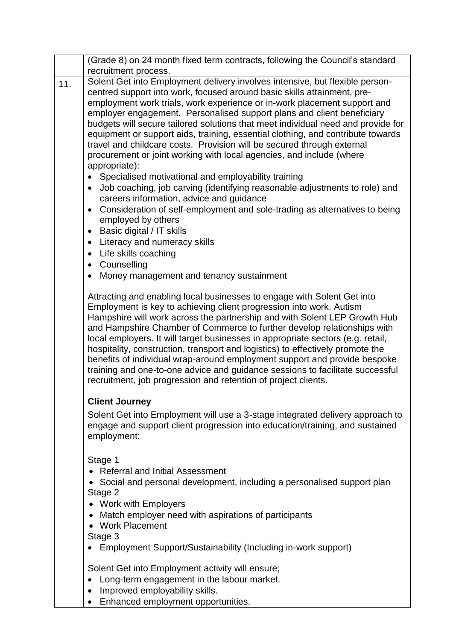|     | (Grade 8) on 24 month fixed term contracts, following the Council's standard<br>recruitment process.                                                                                                                                                                                                                                                                                                                                                                                                                                                                                                                                                                                                        |
|-----|-------------------------------------------------------------------------------------------------------------------------------------------------------------------------------------------------------------------------------------------------------------------------------------------------------------------------------------------------------------------------------------------------------------------------------------------------------------------------------------------------------------------------------------------------------------------------------------------------------------------------------------------------------------------------------------------------------------|
| 11. | Solent Get into Employment delivery involves intensive, but flexible person-<br>centred support into work, focused around basic skills attainment, pre-<br>employment work trials, work experience or in-work placement support and<br>employer engagement. Personalised support plans and client beneficiary<br>budgets will secure tailored solutions that meet individual need and provide for<br>equipment or support aids, training, essential clothing, and contribute towards<br>travel and childcare costs. Provision will be secured through external<br>procurement or joint working with local agencies, and include (where<br>appropriate):                                                     |
|     | Specialised motivational and employability training<br>$\bullet$                                                                                                                                                                                                                                                                                                                                                                                                                                                                                                                                                                                                                                            |
|     | Job coaching, job carving (identifying reasonable adjustments to role) and<br>$\bullet$<br>careers information, advice and guidance                                                                                                                                                                                                                                                                                                                                                                                                                                                                                                                                                                         |
|     | Consideration of self-employment and sole-trading as alternatives to being<br>$\bullet$<br>employed by others<br>Basic digital / IT skills<br>$\bullet$                                                                                                                                                                                                                                                                                                                                                                                                                                                                                                                                                     |
|     | Literacy and numeracy skills<br>$\bullet$                                                                                                                                                                                                                                                                                                                                                                                                                                                                                                                                                                                                                                                                   |
|     | Life skills coaching<br>$\bullet$<br>Counselling<br>$\bullet$                                                                                                                                                                                                                                                                                                                                                                                                                                                                                                                                                                                                                                               |
|     | Money management and tenancy sustainment                                                                                                                                                                                                                                                                                                                                                                                                                                                                                                                                                                                                                                                                    |
|     | Attracting and enabling local businesses to engage with Solent Get into<br>Employment is key to achieving client progression into work. Autism<br>Hampshire will work across the partnership and with Solent LEP Growth Hub<br>and Hampshire Chamber of Commerce to further develop relationships with<br>local employers. It will target businesses in appropriate sectors (e.g. retail,<br>hospitality, construction, transport and logistics) to effectively promote the<br>benefits of individual wrap-around employment support and provide bespoke<br>training and one-to-one advice and guidance sessions to facilitate successful<br>recruitment, job progression and retention of project clients. |
|     | <b>Client Journey</b>                                                                                                                                                                                                                                                                                                                                                                                                                                                                                                                                                                                                                                                                                       |
|     | Solent Get into Employment will use a 3-stage integrated delivery approach to<br>engage and support client progression into education/training, and sustained<br>employment:                                                                                                                                                                                                                                                                                                                                                                                                                                                                                                                                |
|     | Stage 1<br><b>Referral and Initial Assessment</b><br>• Social and personal development, including a personalised support plan<br>Stage 2                                                                                                                                                                                                                                                                                                                                                                                                                                                                                                                                                                    |
|     | <b>Work with Employers</b><br>Match employer need with aspirations of participants<br>$\bullet$<br><b>Work Placement</b>                                                                                                                                                                                                                                                                                                                                                                                                                                                                                                                                                                                    |
|     | Stage 3<br>Employment Support/Sustainability (Including in-work support)                                                                                                                                                                                                                                                                                                                                                                                                                                                                                                                                                                                                                                    |
|     | Solent Get into Employment activity will ensure;                                                                                                                                                                                                                                                                                                                                                                                                                                                                                                                                                                                                                                                            |
|     | Long-term engagement in the labour market.                                                                                                                                                                                                                                                                                                                                                                                                                                                                                                                                                                                                                                                                  |

- Improved employability skills.
- Enhanced employment opportunities.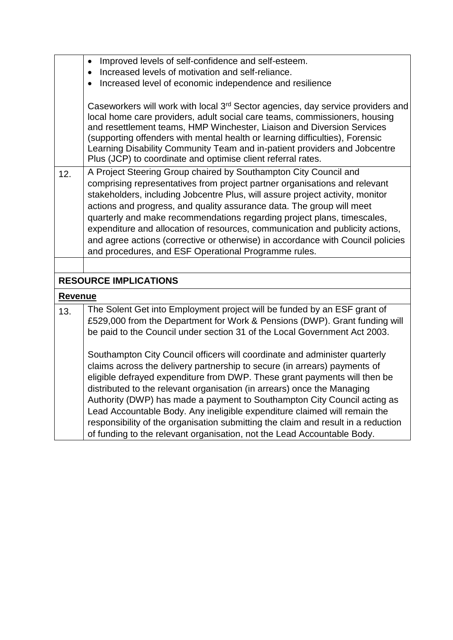|                | Improved levels of self-confidence and self-esteem.<br>$\bullet$                                                                                                                                                                                                                                                                                                                                                                                                                 |
|----------------|----------------------------------------------------------------------------------------------------------------------------------------------------------------------------------------------------------------------------------------------------------------------------------------------------------------------------------------------------------------------------------------------------------------------------------------------------------------------------------|
|                | Increased levels of motivation and self-reliance.                                                                                                                                                                                                                                                                                                                                                                                                                                |
|                | Increased level of economic independence and resilience                                                                                                                                                                                                                                                                                                                                                                                                                          |
|                | Caseworkers will work with local 3 <sup>rd</sup> Sector agencies, day service providers and<br>local home care providers, adult social care teams, commissioners, housing<br>and resettlement teams, HMP Winchester, Liaison and Diversion Services<br>(supporting offenders with mental health or learning difficulties), Forensic<br>Learning Disability Community Team and in-patient providers and Jobcentre<br>Plus (JCP) to coordinate and optimise client referral rates. |
| 12.            | A Project Steering Group chaired by Southampton City Council and                                                                                                                                                                                                                                                                                                                                                                                                                 |
|                | comprising representatives from project partner organisations and relevant                                                                                                                                                                                                                                                                                                                                                                                                       |
|                | stakeholders, including Jobcentre Plus, will assure project activity, monitor                                                                                                                                                                                                                                                                                                                                                                                                    |
|                | actions and progress, and quality assurance data. The group will meet                                                                                                                                                                                                                                                                                                                                                                                                            |
|                | quarterly and make recommendations regarding project plans, timescales,                                                                                                                                                                                                                                                                                                                                                                                                          |
|                | expenditure and allocation of resources, communication and publicity actions,                                                                                                                                                                                                                                                                                                                                                                                                    |
|                | and agree actions (corrective or otherwise) in accordance with Council policies                                                                                                                                                                                                                                                                                                                                                                                                  |
|                | and procedures, and ESF Operational Programme rules.                                                                                                                                                                                                                                                                                                                                                                                                                             |
|                |                                                                                                                                                                                                                                                                                                                                                                                                                                                                                  |
|                | <b>RESOURCE IMPLICATIONS</b>                                                                                                                                                                                                                                                                                                                                                                                                                                                     |
| <b>Revenue</b> |                                                                                                                                                                                                                                                                                                                                                                                                                                                                                  |
| 13.            | The Solent Get into Employment project will be funded by an ESF grant of                                                                                                                                                                                                                                                                                                                                                                                                         |
|                | £529,000 from the Department for Work & Pensions (DWP). Grant funding will                                                                                                                                                                                                                                                                                                                                                                                                       |
|                | be paid to the Council under section 31 of the Local Government Act 2003.                                                                                                                                                                                                                                                                                                                                                                                                        |
|                | Southampton City Council officers will coordinate and administer quarterly                                                                                                                                                                                                                                                                                                                                                                                                       |
|                | claims across the delivery partnership to secure (in arrears) payments of                                                                                                                                                                                                                                                                                                                                                                                                        |
|                | eligible defrayed expenditure from DWP. These grant payments will then be                                                                                                                                                                                                                                                                                                                                                                                                        |
|                | distributed to the relevant organisation (in arrears) once the Managing                                                                                                                                                                                                                                                                                                                                                                                                          |
|                | Authority (DWP) has made a payment to Southampton City Council acting as                                                                                                                                                                                                                                                                                                                                                                                                         |
|                | Lead Accountable Body. Any ineligible expenditure claimed will remain the                                                                                                                                                                                                                                                                                                                                                                                                        |
|                | responsibility of the organisation submitting the claim and result in a reduction                                                                                                                                                                                                                                                                                                                                                                                                |
|                | of funding to the relevant organisation, not the Lead Accountable Body.                                                                                                                                                                                                                                                                                                                                                                                                          |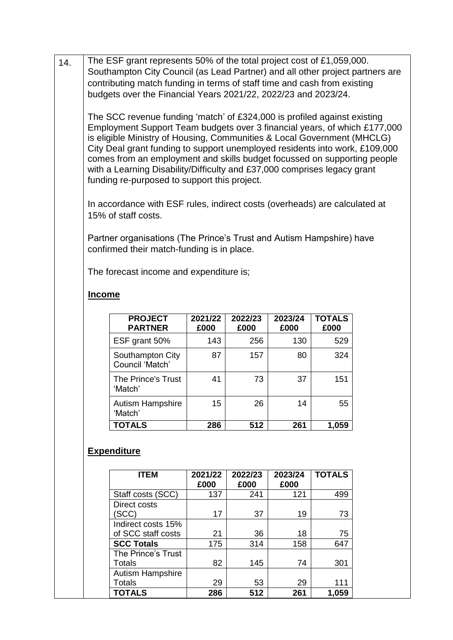14 The ESF grant represents 50% of the total project cost of £1,059,000. Southampton City Council (as Lead Partner) and all other project partners are contributing match funding in terms of staff time and cash from existing budgets over the Financial Years 2021/22, 2022/23 and 2023/24.

The SCC revenue funding 'match' of £324,000 is profiled against existing Employment Support Team budgets over 3 financial years, of which £177,000 is eligible Ministry of Housing, Communities & Local Government (MHCLG) City Deal grant funding to support unemployed residents into work, £109,000 comes from an employment and skills budget focussed on supporting people with a Learning Disability/Difficulty and £37,000 comprises legacy grant funding re-purposed to support this project.

In accordance with ESF rules, indirect costs (overheads) are calculated at 15% of staff costs.

Partner organisations (The Prince's Trust and Autism Hampshire) have confirmed their match-funding is in place.

The forecast income and expenditure is;

## **Income**

| <b>PROJECT</b><br><b>PARTNER</b>    | 2021/22<br>£000 | 2022/23<br>£000 | 2023/24<br>£000 | <b>TOTALS</b><br>£000 |
|-------------------------------------|-----------------|-----------------|-----------------|-----------------------|
| ESF grant 50%                       | 143             | 256             | 130             | 529                   |
| Southampton City<br>Council 'Match' | 87              | 157             | 80              | 324                   |
| The Prince's Trust<br>'Match'       | 41              | 73              | 37              | 151                   |
| <b>Autism Hampshire</b><br>'Match'  | 15              | 26              | 14              | 55                    |
| <b>TOTALS</b>                       | 286             | 512             | 261             | 1,059                 |

## **Expenditure**

| <b>ITEM</b>             | 2021/22<br>£000 | 2022/23<br>£000 | 2023/24<br>£000 | <b>TOTALS</b> |
|-------------------------|-----------------|-----------------|-----------------|---------------|
| Staff costs (SCC)       | 137             | 241             | 121             | 499           |
| Direct costs<br>SCC)    | 17              | 37              | 19              | 73            |
| Indirect costs 15%      |                 |                 |                 |               |
| of SCC staff costs      | 21              | 36              | 18              | 75            |
| <b>SCC Totals</b>       | 175             | 314             | 158             | 647           |
| The Prince's Trust      |                 |                 |                 |               |
| Totals                  | 82              | 145             | 74              | 301           |
| <b>Autism Hampshire</b> |                 |                 |                 |               |
| Totals                  | 29              | 53              | 29              | 111           |
| <b>TOTALS</b>           | 286             | 512             | 261             | 1,059         |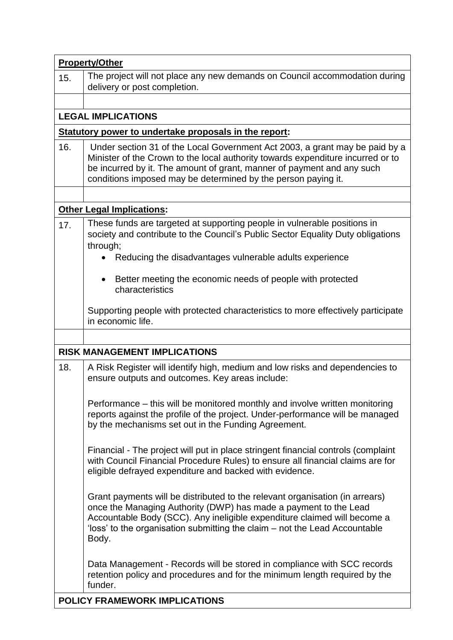|     | <b>Property/Other</b>                                                                                                                                                                                                                                                                                               |
|-----|---------------------------------------------------------------------------------------------------------------------------------------------------------------------------------------------------------------------------------------------------------------------------------------------------------------------|
| 15. | The project will not place any new demands on Council accommodation during<br>delivery or post completion.                                                                                                                                                                                                          |
|     |                                                                                                                                                                                                                                                                                                                     |
|     | <b>LEGAL IMPLICATIONS</b>                                                                                                                                                                                                                                                                                           |
|     | Statutory power to undertake proposals in the report:                                                                                                                                                                                                                                                               |
| 16. | Under section 31 of the Local Government Act 2003, a grant may be paid by a<br>Minister of the Crown to the local authority towards expenditure incurred or to<br>be incurred by it. The amount of grant, manner of payment and any such<br>conditions imposed may be determined by the person paying it.           |
|     |                                                                                                                                                                                                                                                                                                                     |
|     | <b>Other Legal Implications:</b>                                                                                                                                                                                                                                                                                    |
| 17. | These funds are targeted at supporting people in vulnerable positions in<br>society and contribute to the Council's Public Sector Equality Duty obligations<br>through;<br>Reducing the disadvantages vulnerable adults experience                                                                                  |
|     |                                                                                                                                                                                                                                                                                                                     |
|     | Better meeting the economic needs of people with protected<br>characteristics                                                                                                                                                                                                                                       |
|     | Supporting people with protected characteristics to more effectively participate<br>in economic life.                                                                                                                                                                                                               |
|     |                                                                                                                                                                                                                                                                                                                     |
|     | <b>RISK MANAGEMENT IMPLICATIONS</b>                                                                                                                                                                                                                                                                                 |
| 18. | A Risk Register will identify high, medium and low risks and dependencies to<br>ensure outputs and outcomes. Key areas include:                                                                                                                                                                                     |
|     | Performance – this will be monitored monthly and involve written monitoring<br>reports against the profile of the project. Under-performance will be managed<br>by the mechanisms set out in the Funding Agreement.                                                                                                 |
|     | Financial - The project will put in place stringent financial controls (complaint<br>with Council Financial Procedure Rules) to ensure all financial claims are for<br>eligible defrayed expenditure and backed with evidence.                                                                                      |
|     | Grant payments will be distributed to the relevant organisation (in arrears)<br>once the Managing Authority (DWP) has made a payment to the Lead<br>Accountable Body (SCC). Any ineligible expenditure claimed will become a<br>'loss' to the organisation submitting the claim – not the Lead Accountable<br>Body. |
|     | Data Management - Records will be stored in compliance with SCC records<br>retention policy and procedures and for the minimum length required by the<br>funder.                                                                                                                                                    |
|     | <b>POLICY FRAMEWORK IMPLICATIONS</b>                                                                                                                                                                                                                                                                                |